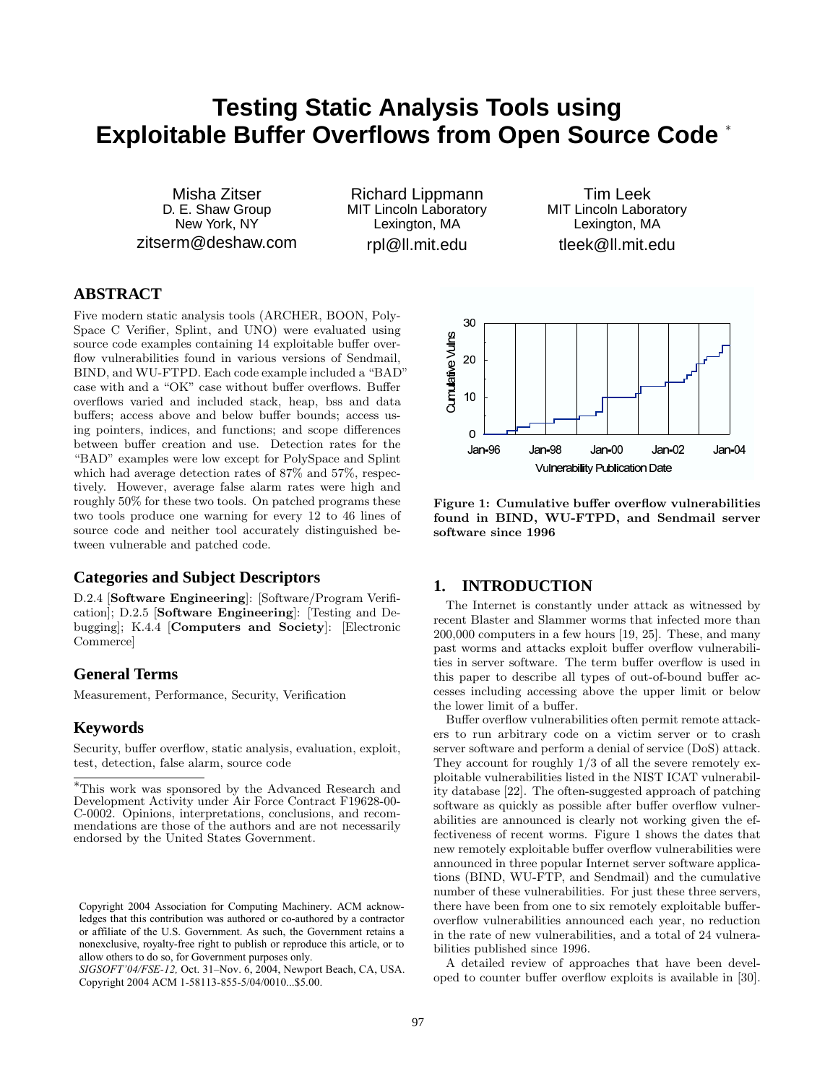# **Testing Static Analysis Tools using Exploitable Buffer Overflows from Open Source Code** <sup>∗</sup>

Misha Zitser D. E. Shaw Group New York, NY zitserm@deshaw.com

Richard Lippmann MIT Lincoln Laboratory Lexington, MA rpl@ll.mit.edu

Tim Leek MIT Lincoln Laboratory Lexington, MA tleek@ll.mit.edu

# **ABSTRACT**

Five modern static analysis tools (ARCHER, BOON, Poly-Space C Verifier, Splint, and UNO) were evaluated using source code examples containing 14 exploitable buffer overflow vulnerabilities found in various versions of Sendmail, BIND, and WU-FTPD. Each code example included a "BAD" case with and a "OK" case without buffer overflows. Buffer overflows varied and included stack, heap, bss and data buffers; access above and below buffer bounds; access using pointers, indices, and functions; and scope differences between buffer creation and use. Detection rates for the "BAD" examples were low except for PolySpace and Splint which had average detection rates of 87% and 57%, respectively. However, average false alarm rates were high and roughly 50% for these two tools. On patched programs these two tools produce one warning for every 12 to 46 lines of source code and neither tool accurately distinguished between vulnerable and patched code.

#### **Categories and Subject Descriptors**

D.2.4 [Software Engineering]: [Software/Program Verification]; D.2.5 [Software Engineering]: [Testing and Debugging]; K.4.4 [Computers and Society]: [Electronic Commerce]

# **General Terms**

Measurement, Performance, Security, Verification

## **Keywords**

Security, buffer overflow, static analysis, evaluation, exploit, test, detection, false alarm, source code

*SIGSOFT'04/FSE-12,* Oct. 31–Nov. 6, 2004, Newport Beach, CA, USA. *SIGSOFT'04/FSE-12,* Oct. 31–Nov. 6, 2004, Newport Beach, CA, USA. Copyright 2004 ACM 1-58113-855-5/04/0010 ...\$5.00. Copyright 2004 ACM 1-58113-855-5/04/0010...\$5.00.



Figure 1: Cumulative buffer overflow vulnerabilities found in BIND, WU-FTPD, and Sendmail server software since 1996

# **1. INTRODUCTION**

The Internet is constantly under attack as witnessed by recent Blaster and Slammer worms that infected more than 200,000 computers in a few hours [19, 25]. These, and many past worms and attacks exploit buffer overflow vulnerabilities in server software. The term buffer overflow is used in this paper to describe all types of out-of-bound buffer accesses including accessing above the upper limit or below the lower limit of a buffer.

Buffer overflow vulnerabilities often permit remote attackers to run arbitrary code on a victim server or to crash server software and perform a denial of service (DoS) attack. They account for roughly 1/3 of all the severe remotely exploitable vulnerabilities listed in the NIST ICAT vulnerability database [22]. The often-suggested approach of patching software as quickly as possible after buffer overflow vulnerabilities are announced is clearly not working given the effectiveness of recent worms. Figure 1 shows the dates that new remotely exploitable buffer overflow vulnerabilities were announced in three popular Internet server software applications (BIND, WU-FTP, and Sendmail) and the cumulative number of these vulnerabilities. For just these three servers, there have been from one to six remotely exploitable bufferoverflow vulnerabilities announced each year, no reduction in the rate of new vulnerabilities, and a total of 24 vulnerabilities published since 1996.

A detailed review of approaches that have been developed to counter buffer overflow exploits is available in [30].

<sup>∗</sup>This work was sponsored by the Advanced Research and Development Activity under Air Force Contract F19628-00- C-0002. Opinions, interpretations, conclusions, and recommendations are those of the authors and are not necessarily endorsed by the United States Government.

Copyright 2004 Association for Computing Machinery. ACM acknowledges that this contribution was authored or co-authored by a contractor or affiliate of the U.S. Government. As such, the Government retains a nonexclusive, royalty-free right to publish or reproduce this article, or to allow others to do so, for Government purposes only.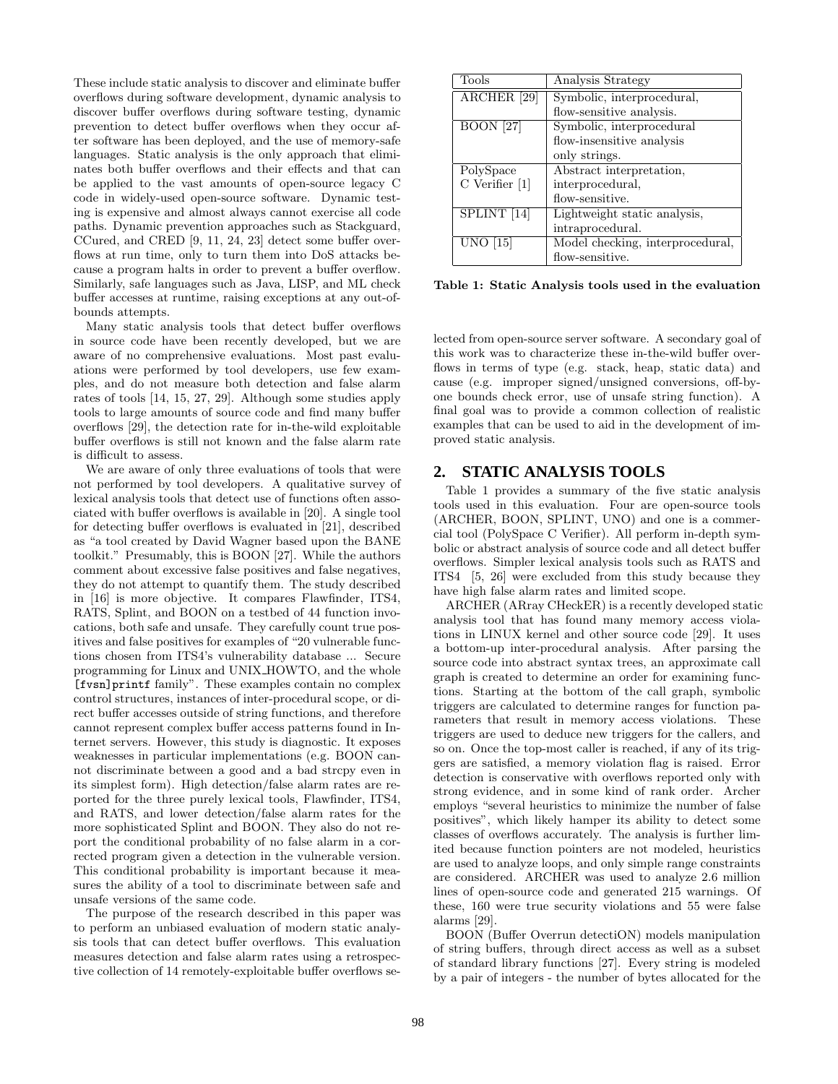These include static analysis to discover and eliminate buffer overflows during software development, dynamic analysis to discover buffer overflows during software testing, dynamic prevention to detect buffer overflows when they occur after software has been deployed, and the use of memory-safe languages. Static analysis is the only approach that eliminates both buffer overflows and their effects and that can be applied to the vast amounts of open-source legacy C code in widely-used open-source software. Dynamic testing is expensive and almost always cannot exercise all code paths. Dynamic prevention approaches such as Stackguard, CCured, and CRED [9, 11, 24, 23] detect some buffer overflows at run time, only to turn them into DoS attacks because a program halts in order to prevent a buffer overflow. Similarly, safe languages such as Java, LISP, and ML check buffer accesses at runtime, raising exceptions at any out-ofbounds attempts.

Many static analysis tools that detect buffer overflows in source code have been recently developed, but we are aware of no comprehensive evaluations. Most past evaluations were performed by tool developers, use few examples, and do not measure both detection and false alarm rates of tools [14, 15, 27, 29]. Although some studies apply tools to large amounts of source code and find many buffer overflows [29], the detection rate for in-the-wild exploitable buffer overflows is still not known and the false alarm rate is difficult to assess.

We are aware of only three evaluations of tools that were not performed by tool developers. A qualitative survey of lexical analysis tools that detect use of functions often associated with buffer overflows is available in [20]. A single tool for detecting buffer overflows is evaluated in [21], described as "a tool created by David Wagner based upon the BANE toolkit." Presumably, this is BOON [27]. While the authors comment about excessive false positives and false negatives, they do not attempt to quantify them. The study described in [16] is more objective. It compares Flawfinder, ITS4, RATS, Splint, and BOON on a testbed of 44 function invocations, both safe and unsafe. They carefully count true positives and false positives for examples of "20 vulnerable functions chosen from ITS4's vulnerability database ... Secure programming for Linux and UNIX HOWTO, and the whole [fvsn]printf family". These examples contain no complex control structures, instances of inter-procedural scope, or direct buffer accesses outside of string functions, and therefore cannot represent complex buffer access patterns found in Internet servers. However, this study is diagnostic. It exposes weaknesses in particular implementations (e.g. BOON cannot discriminate between a good and a bad strcpy even in its simplest form). High detection/false alarm rates are reported for the three purely lexical tools, Flawfinder, ITS4, and RATS, and lower detection/false alarm rates for the more sophisticated Splint and BOON. They also do not report the conditional probability of no false alarm in a corrected program given a detection in the vulnerable version. This conditional probability is important because it measures the ability of a tool to discriminate between safe and unsafe versions of the same code.

The purpose of the research described in this paper was to perform an unbiased evaluation of modern static analysis tools that can detect buffer overflows. This evaluation measures detection and false alarm rates using a retrospective collection of 14 remotely-exploitable buffer overflows se-

| Tools                  | Analysis Strategy                |  |  |
|------------------------|----------------------------------|--|--|
| ARCHER <sup>[29]</sup> | Symbolic, interprocedural,       |  |  |
|                        | flow-sensitive analysis.         |  |  |
| <b>BOON</b> [27]       | Symbolic, interprocedural        |  |  |
|                        | flow-insensitive analysis        |  |  |
|                        | only strings.                    |  |  |
| PolySpace              | Abstract interpretation,         |  |  |
| $C$ Verifier [1]       | interprocedural,                 |  |  |
|                        | flow-sensitive.                  |  |  |
| SPLINT [14]            | Lightweight static analysis,     |  |  |
|                        | intraprocedural.                 |  |  |
| UNO [15]               | Model checking, interprocedural, |  |  |
|                        | flow-sensitive.                  |  |  |

Table 1: Static Analysis tools used in the evaluation

lected from open-source server software. A secondary goal of this work was to characterize these in-the-wild buffer overflows in terms of type (e.g. stack, heap, static data) and cause (e.g. improper signed/unsigned conversions, off-byone bounds check error, use of unsafe string function). A final goal was to provide a common collection of realistic examples that can be used to aid in the development of improved static analysis.

# **2. STATIC ANALYSIS TOOLS**

Table 1 provides a summary of the five static analysis tools used in this evaluation. Four are open-source tools (ARCHER, BOON, SPLINT, UNO) and one is a commercial tool (PolySpace C Verifier). All perform in-depth symbolic or abstract analysis of source code and all detect buffer overflows. Simpler lexical analysis tools such as RATS and ITS4 [5, 26] were excluded from this study because they have high false alarm rates and limited scope.

ARCHER (ARray CHeckER) is a recently developed static analysis tool that has found many memory access violations in LINUX kernel and other source code [29]. It uses a bottom-up inter-procedural analysis. After parsing the source code into abstract syntax trees, an approximate call graph is created to determine an order for examining functions. Starting at the bottom of the call graph, symbolic triggers are calculated to determine ranges for function parameters that result in memory access violations. These triggers are used to deduce new triggers for the callers, and so on. Once the top-most caller is reached, if any of its triggers are satisfied, a memory violation flag is raised. Error detection is conservative with overflows reported only with strong evidence, and in some kind of rank order. Archer employs "several heuristics to minimize the number of false positives", which likely hamper its ability to detect some classes of overflows accurately. The analysis is further limited because function pointers are not modeled, heuristics are used to analyze loops, and only simple range constraints are considered. ARCHER was used to analyze 2.6 million lines of open-source code and generated 215 warnings. Of these, 160 were true security violations and 55 were false alarms [29].

BOON (Buffer Overrun detectiON) models manipulation of string buffers, through direct access as well as a subset of standard library functions [27]. Every string is modeled by a pair of integers - the number of bytes allocated for the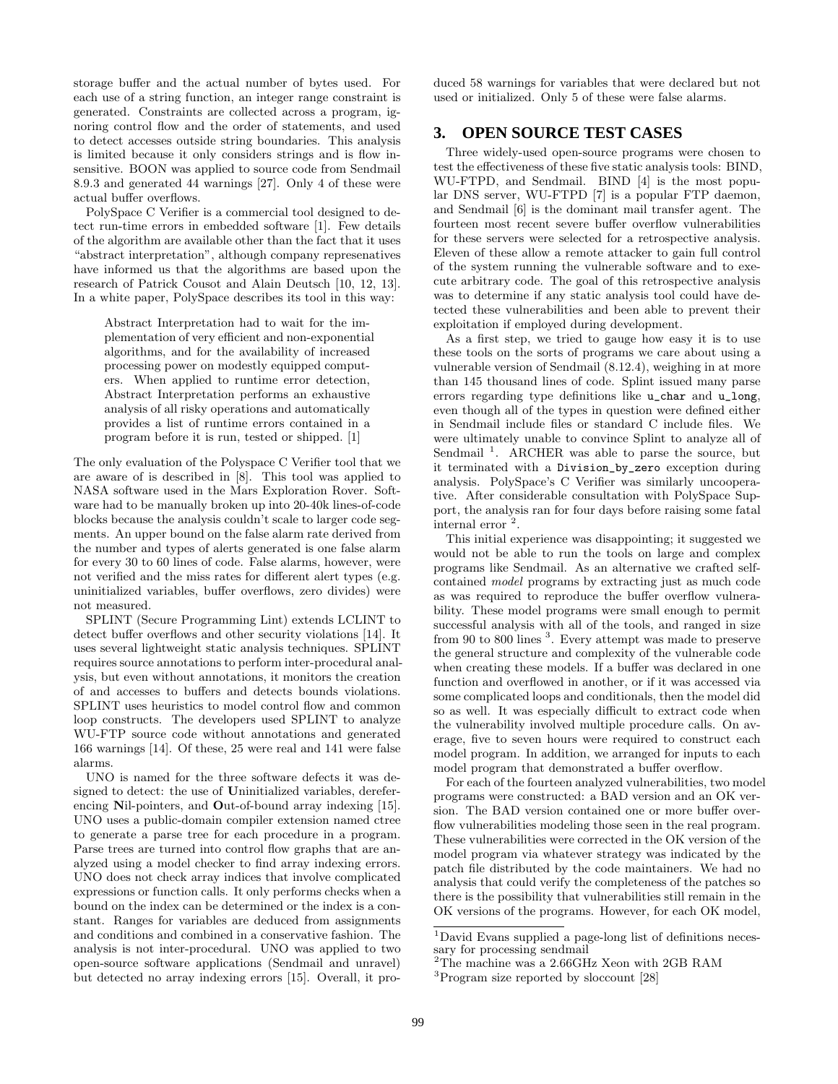storage buffer and the actual number of bytes used. For each use of a string function, an integer range constraint is generated. Constraints are collected across a program, ignoring control flow and the order of statements, and used to detect accesses outside string boundaries. This analysis is limited because it only considers strings and is flow insensitive. BOON was applied to source code from Sendmail 8.9.3 and generated 44 warnings [27]. Only 4 of these were actual buffer overflows.

PolySpace C Verifier is a commercial tool designed to detect run-time errors in embedded software [1]. Few details of the algorithm are available other than the fact that it uses "abstract interpretation", although company represenatives have informed us that the algorithms are based upon the research of Patrick Cousot and Alain Deutsch [10, 12, 13]. In a white paper, PolySpace describes its tool in this way:

Abstract Interpretation had to wait for the implementation of very efficient and non-exponential algorithms, and for the availability of increased processing power on modestly equipped computers. When applied to runtime error detection, Abstract Interpretation performs an exhaustive analysis of all risky operations and automatically provides a list of runtime errors contained in a program before it is run, tested or shipped. [1]

The only evaluation of the Polyspace C Verifier tool that we are aware of is described in [8]. This tool was applied to NASA software used in the Mars Exploration Rover. Software had to be manually broken up into 20-40k lines-of-code blocks because the analysis couldn't scale to larger code segments. An upper bound on the false alarm rate derived from the number and types of alerts generated is one false alarm for every 30 to 60 lines of code. False alarms, however, were not verified and the miss rates for different alert types (e.g. uninitialized variables, buffer overflows, zero divides) were not measured.

SPLINT (Secure Programming Lint) extends LCLINT to detect buffer overflows and other security violations [14]. It uses several lightweight static analysis techniques. SPLINT requires source annotations to perform inter-procedural analysis, but even without annotations, it monitors the creation of and accesses to buffers and detects bounds violations. SPLINT uses heuristics to model control flow and common loop constructs. The developers used SPLINT to analyze WU-FTP source code without annotations and generated 166 warnings [14]. Of these, 25 were real and 141 were false alarms.

UNO is named for the three software defects it was designed to detect: the use of Uninitialized variables, dereferencing Nil-pointers, and Out-of-bound array indexing [15]. UNO uses a public-domain compiler extension named ctree to generate a parse tree for each procedure in a program. Parse trees are turned into control flow graphs that are analyzed using a model checker to find array indexing errors. UNO does not check array indices that involve complicated expressions or function calls. It only performs checks when a bound on the index can be determined or the index is a constant. Ranges for variables are deduced from assignments and conditions and combined in a conservative fashion. The analysis is not inter-procedural. UNO was applied to two open-source software applications (Sendmail and unravel) but detected no array indexing errors [15]. Overall, it produced 58 warnings for variables that were declared but not used or initialized. Only 5 of these were false alarms.

# **3. OPEN SOURCE TEST CASES**

Three widely-used open-source programs were chosen to test the effectiveness of these five static analysis tools: BIND, WU-FTPD, and Sendmail. BIND [4] is the most popular DNS server, WU-FTPD [7] is a popular FTP daemon, and Sendmail [6] is the dominant mail transfer agent. The fourteen most recent severe buffer overflow vulnerabilities for these servers were selected for a retrospective analysis. Eleven of these allow a remote attacker to gain full control of the system running the vulnerable software and to execute arbitrary code. The goal of this retrospective analysis was to determine if any static analysis tool could have detected these vulnerabilities and been able to prevent their exploitation if employed during development.

As a first step, we tried to gauge how easy it is to use these tools on the sorts of programs we care about using a vulnerable version of Sendmail (8.12.4), weighing in at more than 145 thousand lines of code. Splint issued many parse errors regarding type definitions like u\_char and u\_long, even though all of the types in question were defined either in Sendmail include files or standard C include files. We were ultimately unable to convince Splint to analyze all of Sendmail<sup>1</sup>. ARCHER was able to parse the source, but it terminated with a Division\_by\_zero exception during analysis. PolySpace's C Verifier was similarly uncooperative. After considerable consultation with PolySpace Support, the analysis ran for four days before raising some fatal internal error <sup>2</sup>.

This initial experience was disappointing; it suggested we would not be able to run the tools on large and complex programs like Sendmail. As an alternative we crafted selfcontained model programs by extracting just as much code as was required to reproduce the buffer overflow vulnerability. These model programs were small enough to permit successful analysis with all of the tools, and ranged in size from 90 to 800 lines<sup>3</sup>. Every attempt was made to preserve the general structure and complexity of the vulnerable code when creating these models. If a buffer was declared in one function and overflowed in another, or if it was accessed via some complicated loops and conditionals, then the model did so as well. It was especially difficult to extract code when the vulnerability involved multiple procedure calls. On average, five to seven hours were required to construct each model program. In addition, we arranged for inputs to each model program that demonstrated a buffer overflow.

For each of the fourteen analyzed vulnerabilities, two model programs were constructed: a BAD version and an OK version. The BAD version contained one or more buffer overflow vulnerabilities modeling those seen in the real program. These vulnerabilities were corrected in the OK version of the model program via whatever strategy was indicated by the patch file distributed by the code maintainers. We had no analysis that could verify the completeness of the patches so there is the possibility that vulnerabilities still remain in the OK versions of the programs. However, for each OK model,

 $^1$ David Evans supplied a page-long list of definitions necessary for processing sendmail

 $2$ The machine was a 2.66GHz Xeon with 2GB RAM

<sup>3</sup>Program size reported by sloccount [28]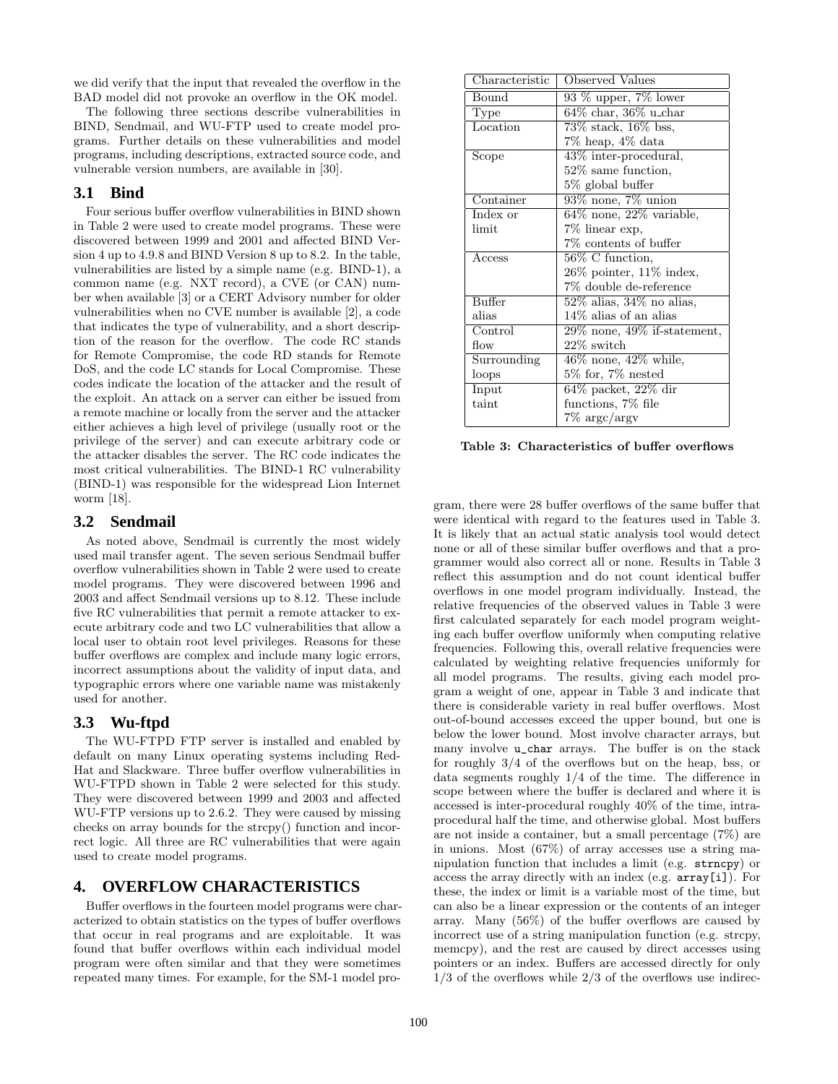we did verify that the input that revealed the overflow in the BAD model did not provoke an overflow in the OK model.

The following three sections describe vulnerabilities in BIND, Sendmail, and WU-FTP used to create model programs. Further details on these vulnerabilities and model programs, including descriptions, extracted source code, and vulnerable version numbers, are available in [30].

## **3.1 Bind**

Four serious buffer overflow vulnerabilities in BIND shown in Table 2 were used to create model programs. These were discovered between 1999 and 2001 and affected BIND Version 4 up to 4.9.8 and BIND Version 8 up to 8.2. In the table, vulnerabilities are listed by a simple name (e.g. BIND-1), a common name (e.g. NXT record), a CVE (or CAN) number when available [3] or a CERT Advisory number for older vulnerabilities when no CVE number is available [2], a code that indicates the type of vulnerability, and a short description of the reason for the overflow. The code RC stands for Remote Compromise, the code RD stands for Remote DoS, and the code LC stands for Local Compromise. These codes indicate the location of the attacker and the result of the exploit. An attack on a server can either be issued from a remote machine or locally from the server and the attacker either achieves a high level of privilege (usually root or the privilege of the server) and can execute arbitrary code or the attacker disables the server. The RC code indicates the most critical vulnerabilities. The BIND-1 RC vulnerability (BIND-1) was responsible for the widespread Lion Internet worm [18].

### **3.2 Sendmail**

As noted above, Sendmail is currently the most widely used mail transfer agent. The seven serious Sendmail buffer overflow vulnerabilities shown in Table 2 were used to create model programs. They were discovered between 1996 and 2003 and affect Sendmail versions up to 8.12. These include five RC vulnerabilities that permit a remote attacker to execute arbitrary code and two LC vulnerabilities that allow a local user to obtain root level privileges. Reasons for these buffer overflows are complex and include many logic errors, incorrect assumptions about the validity of input data, and typographic errors where one variable name was mistakenly used for another.

# **3.3 Wu-ftpd**

The WU-FTPD FTP server is installed and enabled by default on many Linux operating systems including Red-Hat and Slackware. Three buffer overflow vulnerabilities in WU-FTPD shown in Table 2 were selected for this study. They were discovered between 1999 and 2003 and affected WU-FTP versions up to 2.6.2. They were caused by missing checks on array bounds for the strcpy() function and incorrect logic. All three are RC vulnerabilities that were again used to create model programs.

#### **4. OVERFLOW CHARACTERISTICS**

Buffer overflows in the fourteen model programs were characterized to obtain statistics on the types of buffer overflows that occur in real programs and are exploitable. It was found that buffer overflows within each individual model program were often similar and that they were sometimes repeated many times. For example, for the SM-1 model pro-

| Characteristic | Observed Values                |
|----------------|--------------------------------|
| Bound          | 93 % upper, 7% lower           |
| Type           | $64\%$ char, $36\%$ u_char     |
| Location       | $73\%$ stack, $16\%$ bss,      |
|                | $7\%$ heap, $4\%$ data         |
| Scope          | 43\% inter-procedural,         |
|                | 52\% same function,            |
|                | 5\% global buffer              |
| Container      | $93\%$ none, 7\% union         |
| Index or       | $64\%$ none, $22\%$ variable,  |
| limit          | 7% linear exp,                 |
|                | 7\% contents of buffer         |
| Access         | $56\%$ C function,             |
|                | $26\%$ pointer, $11\%$ index,  |
|                | 7% double de-reference         |
| Buffer         | $52\%$ alias, $34\%$ no alias, |
| alias          | 14\% alias of an alias         |
| Control        | 29% none, 49% if-statement,    |
| flow           | 22\% switch                    |
| Surrounding    | $46\%$ none, $42\%$ while,     |
| loops          | $5\%$ for, 7\% nested          |
| Input          | $64\%$ packet, $22\%$ dir      |
| taint          | functions, 7% file             |
|                | $7\%$ argc/argv                |

Table 3: Characteristics of buffer overflows

gram, there were 28 buffer overflows of the same buffer that were identical with regard to the features used in Table 3. It is likely that an actual static analysis tool would detect none or all of these similar buffer overflows and that a programmer would also correct all or none. Results in Table 3 reflect this assumption and do not count identical buffer overflows in one model program individually. Instead, the relative frequencies of the observed values in Table 3 were first calculated separately for each model program weighting each buffer overflow uniformly when computing relative frequencies. Following this, overall relative frequencies were calculated by weighting relative frequencies uniformly for all model programs. The results, giving each model program a weight of one, appear in Table 3 and indicate that there is considerable variety in real buffer overflows. Most out-of-bound accesses exceed the upper bound, but one is below the lower bound. Most involve character arrays, but many involve u\_char arrays. The buffer is on the stack for roughly 3/4 of the overflows but on the heap, bss, or data segments roughly 1/4 of the time. The difference in scope between where the buffer is declared and where it is accessed is inter-procedural roughly 40% of the time, intraprocedural half the time, and otherwise global. Most buffers are not inside a container, but a small percentage (7%) are in unions. Most (67%) of array accesses use a string manipulation function that includes a limit (e.g. strncpy) or access the array directly with an index (e.g. array[i]). For these, the index or limit is a variable most of the time, but can also be a linear expression or the contents of an integer array. Many (56%) of the buffer overflows are caused by incorrect use of a string manipulation function (e.g. strcpy, memcpy), and the rest are caused by direct accesses using pointers or an index. Buffers are accessed directly for only  $1/3$  of the overflows while  $2/3$  of the overflows use indirec-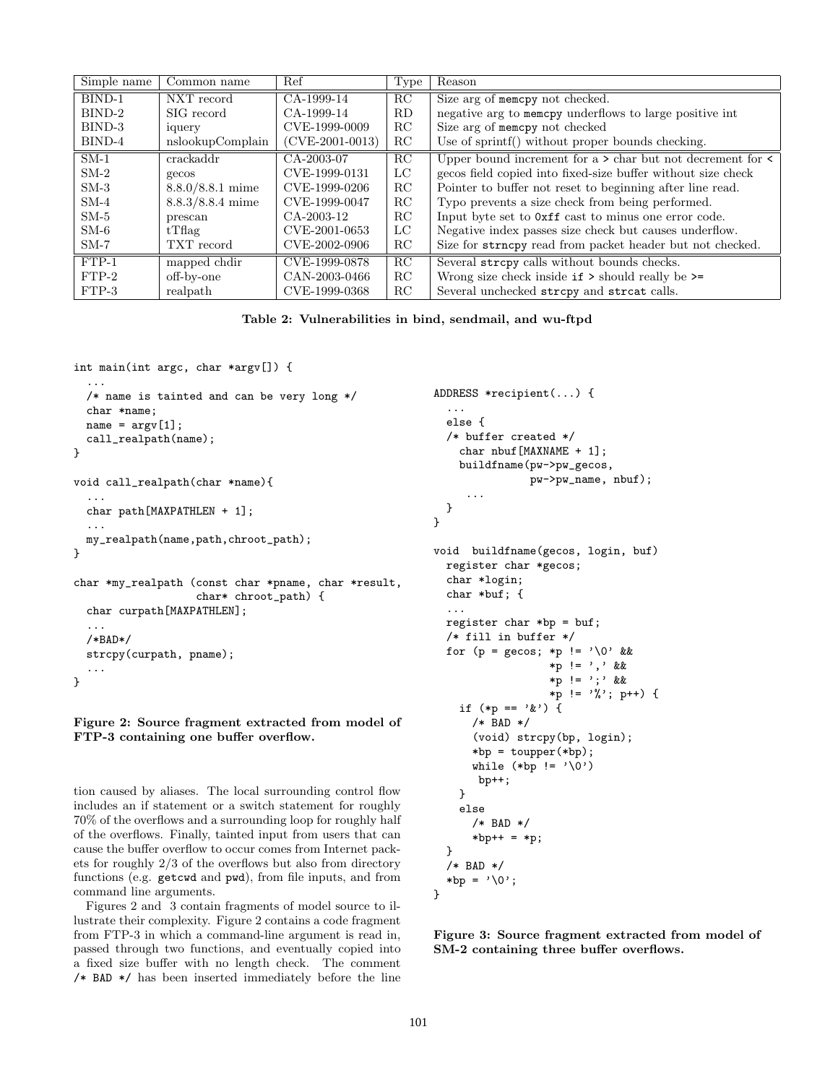| Simple name | Common name                    | Ref               | Type        | Reason                                                            |  |  |
|-------------|--------------------------------|-------------------|-------------|-------------------------------------------------------------------|--|--|
| BIND-1      | $\overline{\text{NXT}}$ record | CA-1999-14        | $_{\rm RC}$ | Size arg of memory not checked.                                   |  |  |
| BIND-2      | SIG record                     | CA-1999-14        | RD          | negative arg to memory underflows to large positive int           |  |  |
| BIND-3      | iquery                         | CVE-1999-0009     | $_{\rm RC}$ | Size arg of memory not checked                                    |  |  |
| BIND-4      | nslookupComplain               | $(CVE-2001-0013)$ | $_{\rm RC}$ | Use of sprintf() without proper bounds checking.                  |  |  |
| $SM-1$      | crackaddr                      | CA-2003-07        | RC          | Upper bound increment for $a >$ char but not decrement for $\leq$ |  |  |
| $SM-2$      | gecos                          | CVE-1999-0131     | LC          | gecos field copied into fixed-size buffer without size check      |  |  |
| $SM-3$      | $8.8.0/8.8.1$ mime             | CVE-1999-0206     | $_{\rm RC}$ | Pointer to buffer not reset to beginning after line read.         |  |  |
| $SM-4$      | $8.8.3/8.8.4$ mime             | CVE-1999-0047     | $_{\rm RC}$ | Typo prevents a size check from being performed.                  |  |  |
| $SM-5$      | prescan                        | CA-2003-12        | RC          | Input byte set to $0xff$ cast to minus one error code.            |  |  |
| $SM-6$      | $t$ Tflag                      | CVE-2001-0653     | LC          | Negative index passes size check but causes underflow.            |  |  |
| $SM-7$      | TXT record                     | CVE-2002-0906     | $_{\rm RC}$ | Size for strncpy read from packet header but not checked.         |  |  |
| $FTP-1$     | mapped chdir                   | CVE-1999-0878     | RC          | Several stropy calls without bounds checks.                       |  |  |
| $FTP-2$     | off-by-one                     | CAN-2003-0466     | RC          | Wrong size check inside $if >$ should really be $>=$              |  |  |
| $FTP-3$     | realpath                       | CVE-1999-0368     | $_{\rm RC}$ | Several unchecked stropy and streat calls.                        |  |  |

Table 2: Vulnerabilities in bind, sendmail, and wu-ftpd

```
int main(int argc, char *argv[]) {
```
...

```
/* name is tainted and can be very long */
 char *name;
 name = argv[1];call_realpath(name);
}
void call_realpath(char *name){
  ...
 char path[MAXPATHLEN + 1];
  ...
 my_realpath(name,path,chroot_path);
}
char *my_realpath (const char *pname, char *result,
                   char* chroot_path) {
 char curpath[MAXPATHLEN];
  ...
 /*BAD*/
 strcpy(curpath, pname);
  ...
}
```
Figure 2: Source fragment extracted from model of FTP-3 containing one buffer overflow.

tion caused by aliases. The local surrounding control flow includes an if statement or a switch statement for roughly 70% of the overflows and a surrounding loop for roughly half of the overflows. Finally, tainted input from users that can cause the buffer overflow to occur comes from Internet packets for roughly 2/3 of the overflows but also from directory functions (e.g. getcwd and pwd), from file inputs, and from command line arguments.

Figures 2 and 3 contain fragments of model source to illustrate their complexity. Figure 2 contains a code fragment from FTP-3 in which a command-line argument is read in, passed through two functions, and eventually copied into a fixed size buffer with no length check. The comment /\* BAD \*/ has been inserted immediately before the line

```
ADDRESS *recipient(...) {
  ...
  else {
  /* buffer created */
    char nbuf[MAXNAME + 1];
    buildfname(pw->pw_gecos,
                pw->pw_name, nbuf);
     ...
 }
}
void buildfname(gecos, login, buf)
  register char *gecos;
  char *login;
  char *buf; {
  ...
  register char *bp = buf;
  /* fill in buffer */
  for (p = gecos; *p != ' \0' &*p != ',' &&
                   \ast\texttt{p} != ';' &&
                   *p != '%'; p++) {
    if (*p == '&') {
      /* BAD */
      (void) strcpy(bp, login);
      *bp = \text{toupper}(\text{*bp});
      while (*bp := '\\0')bp++;}
    else
      /* BAD */
      *bp++ = *p;}
  /* BAD */*bp = '\0';
}
```
Figure 3: Source fragment extracted from model of SM-2 containing three buffer overflows.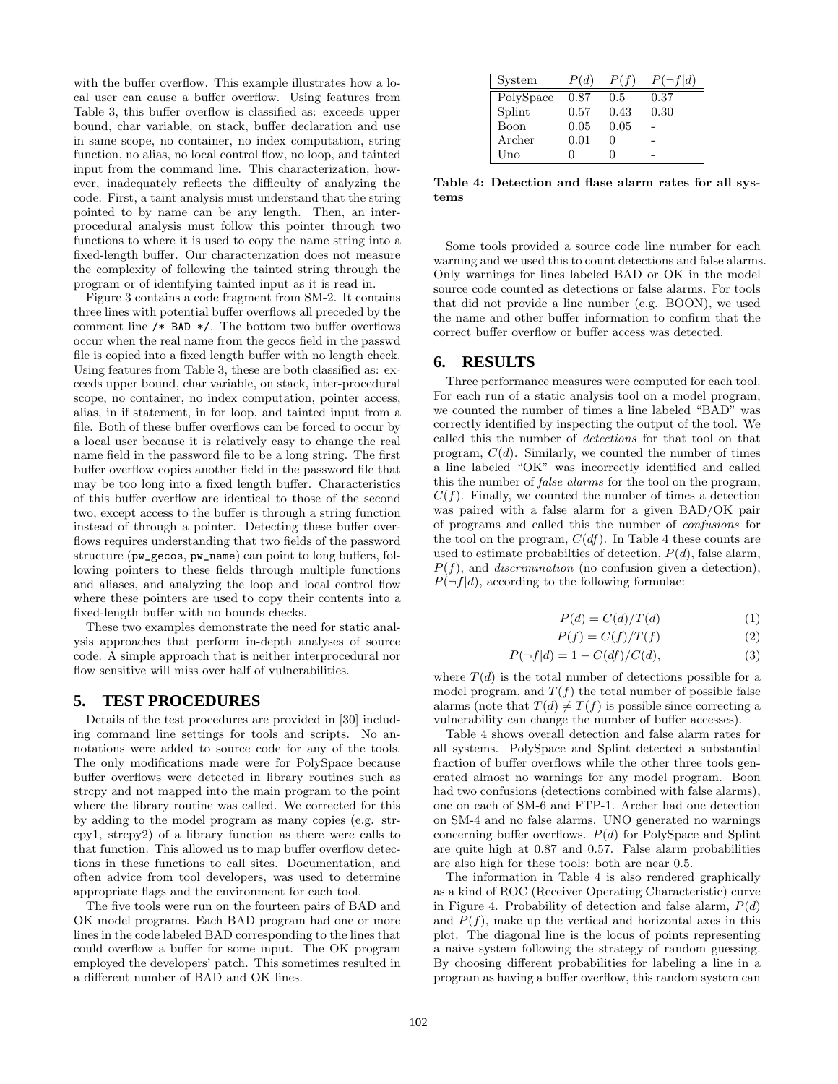with the buffer overflow. This example illustrates how a local user can cause a buffer overflow. Using features from Table 3, this buffer overflow is classified as: exceeds upper bound, char variable, on stack, buffer declaration and use in same scope, no container, no index computation, string function, no alias, no local control flow, no loop, and tainted input from the command line. This characterization, however, inadequately reflects the difficulty of analyzing the code. First, a taint analysis must understand that the string pointed to by name can be any length. Then, an interprocedural analysis must follow this pointer through two functions to where it is used to copy the name string into a fixed-length buffer. Our characterization does not measure the complexity of following the tainted string through the program or of identifying tainted input as it is read in.

Figure 3 contains a code fragment from SM-2. It contains three lines with potential buffer overflows all preceded by the comment line /\* BAD \*/. The bottom two buffer overflows occur when the real name from the gecos field in the passwd file is copied into a fixed length buffer with no length check. Using features from Table 3, these are both classified as: exceeds upper bound, char variable, on stack, inter-procedural scope, no container, no index computation, pointer access, alias, in if statement, in for loop, and tainted input from a file. Both of these buffer overflows can be forced to occur by a local user because it is relatively easy to change the real name field in the password file to be a long string. The first buffer overflow copies another field in the password file that may be too long into a fixed length buffer. Characteristics of this buffer overflow are identical to those of the second two, except access to the buffer is through a string function instead of through a pointer. Detecting these buffer overflows requires understanding that two fields of the password structure (pw\_gecos, pw\_name) can point to long buffers, following pointers to these fields through multiple functions and aliases, and analyzing the loop and local control flow where these pointers are used to copy their contents into a fixed-length buffer with no bounds checks.

These two examples demonstrate the need for static analysis approaches that perform in-depth analyses of source code. A simple approach that is neither interprocedural nor flow sensitive will miss over half of vulnerabilities.

#### **5. TEST PROCEDURES**

Details of the test procedures are provided in [30] including command line settings for tools and scripts. No annotations were added to source code for any of the tools. The only modifications made were for PolySpace because buffer overflows were detected in library routines such as strcpy and not mapped into the main program to the point where the library routine was called. We corrected for this by adding to the model program as many copies (e.g. strcpy1, strcpy2) of a library function as there were calls to that function. This allowed us to map buffer overflow detections in these functions to call sites. Documentation, and often advice from tool developers, was used to determine appropriate flags and the environment for each tool.

The five tools were run on the fourteen pairs of BAD and OK model programs. Each BAD program had one or more lines in the code labeled BAD corresponding to the lines that could overflow a buffer for some input. The OK program employed the developers' patch. This sometimes resulted in a different number of BAD and OK lines.

| System      | P(d) | P(f) | $P(\neg f d)$ |
|-------------|------|------|---------------|
| PolySpace   | 0.87 | 0.5  | 0.37          |
| Splint      | 0.57 | 0.43 | 0.30          |
| <b>Boon</b> | 0.05 | 0.05 |               |
| Archer      | 0.01 |      |               |
| Uno         |      |      |               |

Table 4: Detection and flase alarm rates for all systems

Some tools provided a source code line number for each warning and we used this to count detections and false alarms. Only warnings for lines labeled BAD or OK in the model source code counted as detections or false alarms. For tools that did not provide a line number (e.g. BOON), we used the name and other buffer information to confirm that the correct buffer overflow or buffer access was detected.

#### **6. RESULTS**

Three performance measures were computed for each tool. For each run of a static analysis tool on a model program, we counted the number of times a line labeled "BAD" was correctly identified by inspecting the output of the tool. We called this the number of detections for that tool on that program,  $C(d)$ . Similarly, we counted the number of times a line labeled "OK" was incorrectly identified and called this the number of false alarms for the tool on the program,  $C(f)$ . Finally, we counted the number of times a detection was paired with a false alarm for a given BAD/OK pair of programs and called this the number of confusions for the tool on the program,  $C(df)$ . In Table 4 these counts are used to estimate probabilties of detection,  $P(d)$ , false alarm,  $P(f)$ , and *discrimination* (no confusion given a detection),  $P(\neg f|d)$ , according to the following formulae:

$$
P(d) = C(d)/T(d)
$$
 (1)

$$
P(f) = C(f)/T(f) \tag{2}
$$

$$
P(\neg f|d) = 1 - C(df)/C(d),\tag{3}
$$

where  $T(d)$  is the total number of detections possible for a model program, and  $T(f)$  the total number of possible false alarms (note that  $T(d) \neq T(f)$  is possible since correcting a vulnerability can change the number of buffer accesses).

Table 4 shows overall detection and false alarm rates for all systems. PolySpace and Splint detected a substantial fraction of buffer overflows while the other three tools generated almost no warnings for any model program. Boon had two confusions (detections combined with false alarms), one on each of SM-6 and FTP-1. Archer had one detection on SM-4 and no false alarms. UNO generated no warnings concerning buffer overflows.  $P(d)$  for PolySpace and Splint are quite high at 0.87 and 0.57. False alarm probabilities are also high for these tools: both are near 0.5.

The information in Table 4 is also rendered graphically as a kind of ROC (Receiver Operating Characteristic) curve in Figure 4. Probability of detection and false alarm,  $P(d)$ and  $P(f)$ , make up the vertical and horizontal axes in this plot. The diagonal line is the locus of points representing a naive system following the strategy of random guessing. By choosing different probabilities for labeling a line in a program as having a buffer overflow, this random system can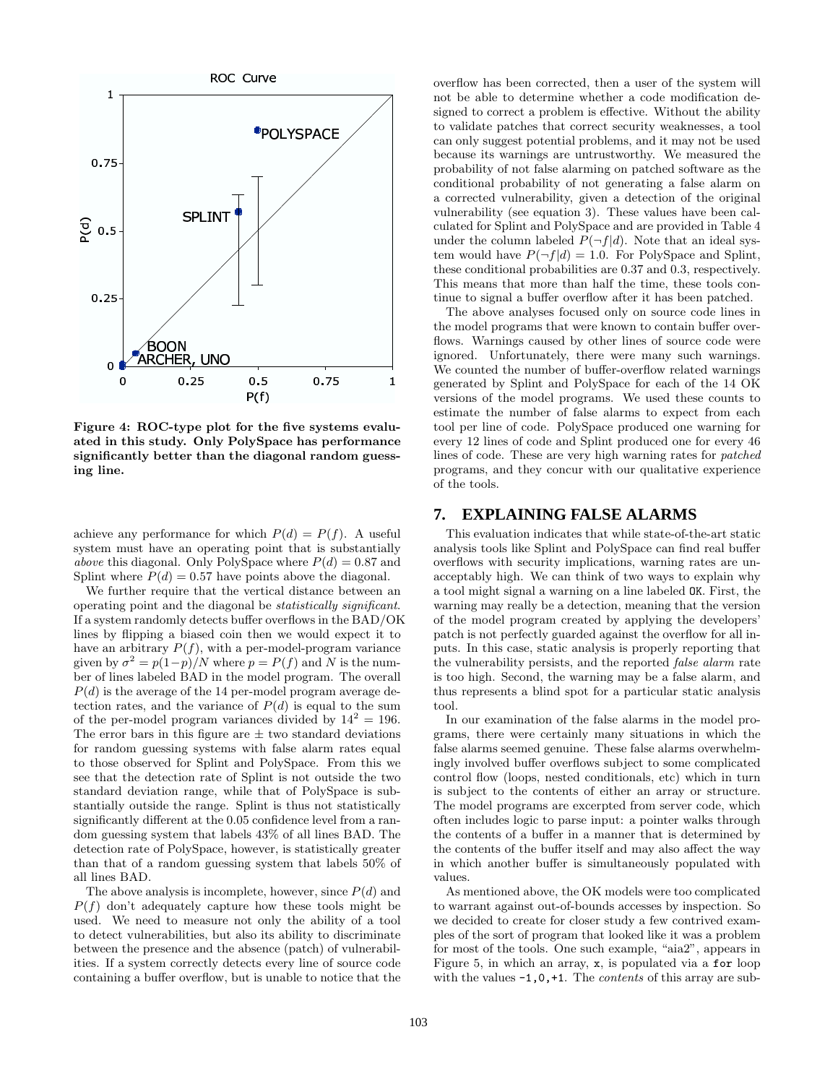

Figure 4: ROC-type plot for the five systems evaluated in this study. Only PolySpace has performance significantly better than the diagonal random guessing line.

achieve any performance for which  $P(d) = P(f)$ . A useful system must have an operating point that is substantially *above* this diagonal. Only PolySpace where  $P(d) = 0.87$  and Splint where  $P(d) = 0.57$  have points above the diagonal.

We further require that the vertical distance between an operating point and the diagonal be statistically significant. If a system randomly detects buffer overflows in the BAD/OK lines by flipping a biased coin then we would expect it to have an arbitrary  $P(f)$ , with a per-model-program variance given by  $\sigma^2 = p(1-p)/N$  where  $p = P(f)$  and N is the number of lines labeled BAD in the model program. The overall  $P(d)$  is the average of the 14 per-model program average detection rates, and the variance of  $P(d)$  is equal to the sum of the per-model program variances divided by  $14^2 = 196$ . The error bars in this figure are  $\pm$  two standard deviations for random guessing systems with false alarm rates equal to those observed for Splint and PolySpace. From this we see that the detection rate of Splint is not outside the two standard deviation range, while that of PolySpace is substantially outside the range. Splint is thus not statistically significantly different at the 0.05 confidence level from a random guessing system that labels 43% of all lines BAD. The detection rate of PolySpace, however, is statistically greater than that of a random guessing system that labels 50% of all lines BAD.

The above analysis is incomplete, however, since  $P(d)$  and  $P(f)$  don't adequately capture how these tools might be used. We need to measure not only the ability of a tool to detect vulnerabilities, but also its ability to discriminate between the presence and the absence (patch) of vulnerabilities. If a system correctly detects every line of source code containing a buffer overflow, but is unable to notice that the overflow has been corrected, then a user of the system will not be able to determine whether a code modification designed to correct a problem is effective. Without the ability to validate patches that correct security weaknesses, a tool can only suggest potential problems, and it may not be used because its warnings are untrustworthy. We measured the probability of not false alarming on patched software as the conditional probability of not generating a false alarm on a corrected vulnerability, given a detection of the original vulnerability (see equation 3). These values have been calculated for Splint and PolySpace and are provided in Table 4 under the column labeled  $P(\neg f|d)$ . Note that an ideal system would have  $P(\neg f|d) = 1.0$ . For PolySpace and Splint, these conditional probabilities are 0.37 and 0.3, respectively. This means that more than half the time, these tools continue to signal a buffer overflow after it has been patched.

The above analyses focused only on source code lines in the model programs that were known to contain buffer overflows. Warnings caused by other lines of source code were ignored. Unfortunately, there were many such warnings. We counted the number of buffer-overflow related warnings generated by Splint and PolySpace for each of the 14 OK versions of the model programs. We used these counts to estimate the number of false alarms to expect from each tool per line of code. PolySpace produced one warning for every 12 lines of code and Splint produced one for every 46 lines of code. These are very high warning rates for patched programs, and they concur with our qualitative experience of the tools.

## **7. EXPLAINING FALSE ALARMS**

This evaluation indicates that while state-of-the-art static analysis tools like Splint and PolySpace can find real buffer overflows with security implications, warning rates are unacceptably high. We can think of two ways to explain why a tool might signal a warning on a line labeled OK. First, the warning may really be a detection, meaning that the version of the model program created by applying the developers' patch is not perfectly guarded against the overflow for all inputs. In this case, static analysis is properly reporting that the vulnerability persists, and the reported false alarm rate is too high. Second, the warning may be a false alarm, and thus represents a blind spot for a particular static analysis tool.

In our examination of the false alarms in the model programs, there were certainly many situations in which the false alarms seemed genuine. These false alarms overwhelmingly involved buffer overflows subject to some complicated control flow (loops, nested conditionals, etc) which in turn is subject to the contents of either an array or structure. The model programs are excerpted from server code, which often includes logic to parse input: a pointer walks through the contents of a buffer in a manner that is determined by the contents of the buffer itself and may also affect the way in which another buffer is simultaneously populated with values.

As mentioned above, the OK models were too complicated to warrant against out-of-bounds accesses by inspection. So we decided to create for closer study a few contrived examples of the sort of program that looked like it was a problem for most of the tools. One such example, "aia2", appears in Figure 5, in which an array, x, is populated via a for loop with the values  $-1,0,+1$ . The *contents* of this array are sub-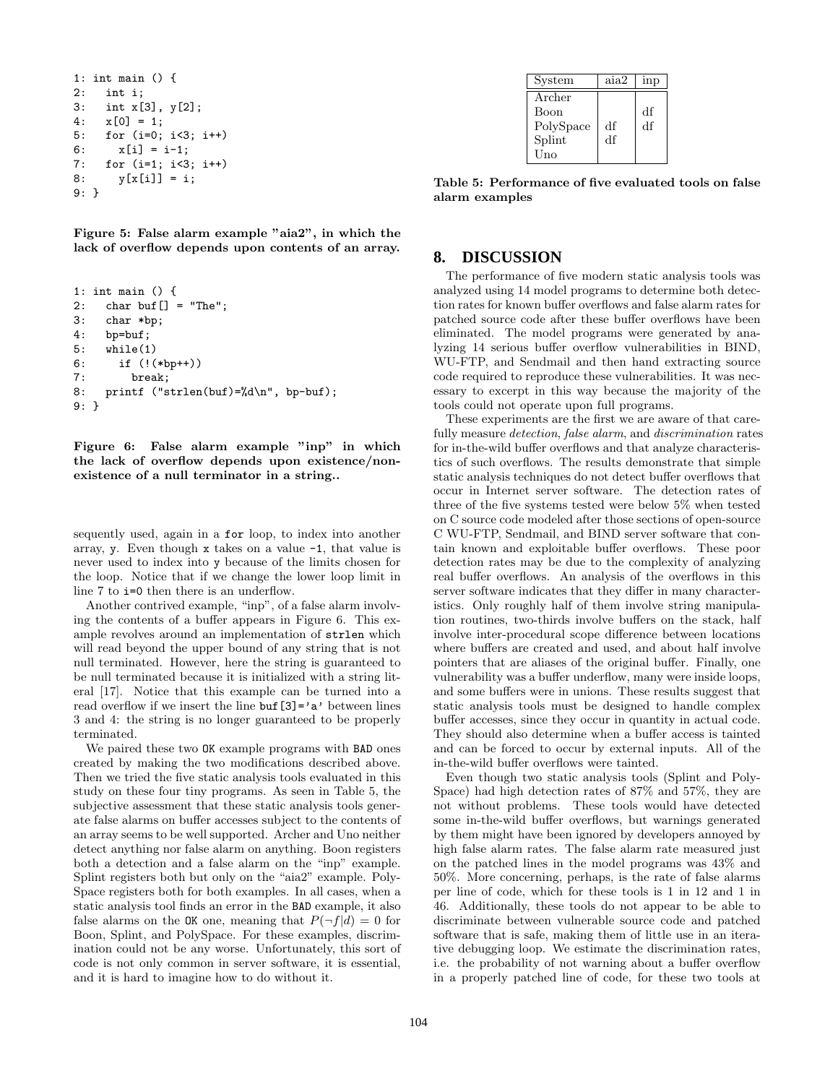```
1: int main () {
2: int i;
3: int x[3], y[2];
4: x[0] = 1;
5: for (i=0; i<3; i++)
6: x[i] = i-1;7: for (i=1; i<3; i++)
8: y[x[i]] = i;
9: }
```
Figure 5: False alarm example "aia2", in which the lack of overflow depends upon contents of an array.

```
1: int main () {
2: char buf[] = "The";3: char *bp;
4: bp=buf;
5: while(1)
6: if (!(*bp++))
7: break;
8: printf ("strlen(buf)=%d\n", bp-buf);
9: }
```
Figure 6: False alarm example "inp" in which the lack of overflow depends upon existence/nonexistence of a null terminator in a string..

sequently used, again in a for loop, to index into another array, y. Even though x takes on a value -1, that value is never used to index into y because of the limits chosen for the loop. Notice that if we change the lower loop limit in line 7 to i=0 then there is an underflow.

Another contrived example, "inp", of a false alarm involving the contents of a buffer appears in Figure 6. This example revolves around an implementation of strlen which will read beyond the upper bound of any string that is not null terminated. However, here the string is guaranteed to be null terminated because it is initialized with a string literal [17]. Notice that this example can be turned into a read overflow if we insert the line buf  $[3]$ ='a' between lines 3 and 4: the string is no longer guaranteed to be properly terminated.

We paired these two  $OK$  example programs with BAD ones created by making the two modifications described above. Then we tried the five static analysis tools evaluated in this study on these four tiny programs. As seen in Table 5, the subjective assessment that these static analysis tools generate false alarms on buffer accesses subject to the contents of an array seems to be well supported. Archer and Uno neither detect anything nor false alarm on anything. Boon registers both a detection and a false alarm on the "inp" example. Splint registers both but only on the "aia2" example. Poly-Space registers both for both examples. In all cases, when a static analysis tool finds an error in the BAD example, it also false alarms on the OK one, meaning that  $P(\neg f|d) = 0$  for Boon, Splint, and PolySpace. For these examples, discrimination could not be any worse. Unfortunately, this sort of code is not only common in server software, it is essential, and it is hard to imagine how to do without it.

| System                                       | aia2     | inp      |
|----------------------------------------------|----------|----------|
| Archer<br>Boon<br>PolySpace<br>Splint<br>Uno | df<br>df | df<br>df |

Table 5: Performance of five evaluated tools on false alarm examples

# **8. DISCUSSION**

The performance of five modern static analysis tools was analyzed using 14 model programs to determine both detection rates for known buffer overflows and false alarm rates for patched source code after these buffer overflows have been eliminated. The model programs were generated by analyzing 14 serious buffer overflow vulnerabilities in BIND, WU-FTP, and Sendmail and then hand extracting source code required to reproduce these vulnerabilities. It was necessary to excerpt in this way because the majority of the tools could not operate upon full programs.

These experiments are the first we are aware of that carefully measure *detection*, *false alarm*, and *discrimination* rates for in-the-wild buffer overflows and that analyze characteristics of such overflows. The results demonstrate that simple static analysis techniques do not detect buffer overflows that occur in Internet server software. The detection rates of three of the five systems tested were below 5% when tested on C source code modeled after those sections of open-source C WU-FTP, Sendmail, and BIND server software that contain known and exploitable buffer overflows. These poor detection rates may be due to the complexity of analyzing real buffer overflows. An analysis of the overflows in this server software indicates that they differ in many characteristics. Only roughly half of them involve string manipulation routines, two-thirds involve buffers on the stack, half involve inter-procedural scope difference between locations where buffers are created and used, and about half involve pointers that are aliases of the original buffer. Finally, one vulnerability was a buffer underflow, many were inside loops, and some buffers were in unions. These results suggest that static analysis tools must be designed to handle complex buffer accesses, since they occur in quantity in actual code. They should also determine when a buffer access is tainted and can be forced to occur by external inputs. All of the in-the-wild buffer overflows were tainted.

Even though two static analysis tools (Splint and Poly-Space) had high detection rates of 87% and 57%, they are not without problems. These tools would have detected some in-the-wild buffer overflows, but warnings generated by them might have been ignored by developers annoyed by high false alarm rates. The false alarm rate measured just on the patched lines in the model programs was 43% and 50%. More concerning, perhaps, is the rate of false alarms per line of code, which for these tools is 1 in 12 and 1 in 46. Additionally, these tools do not appear to be able to discriminate between vulnerable source code and patched software that is safe, making them of little use in an iterative debugging loop. We estimate the discrimination rates, i.e. the probability of not warning about a buffer overflow in a properly patched line of code, for these two tools at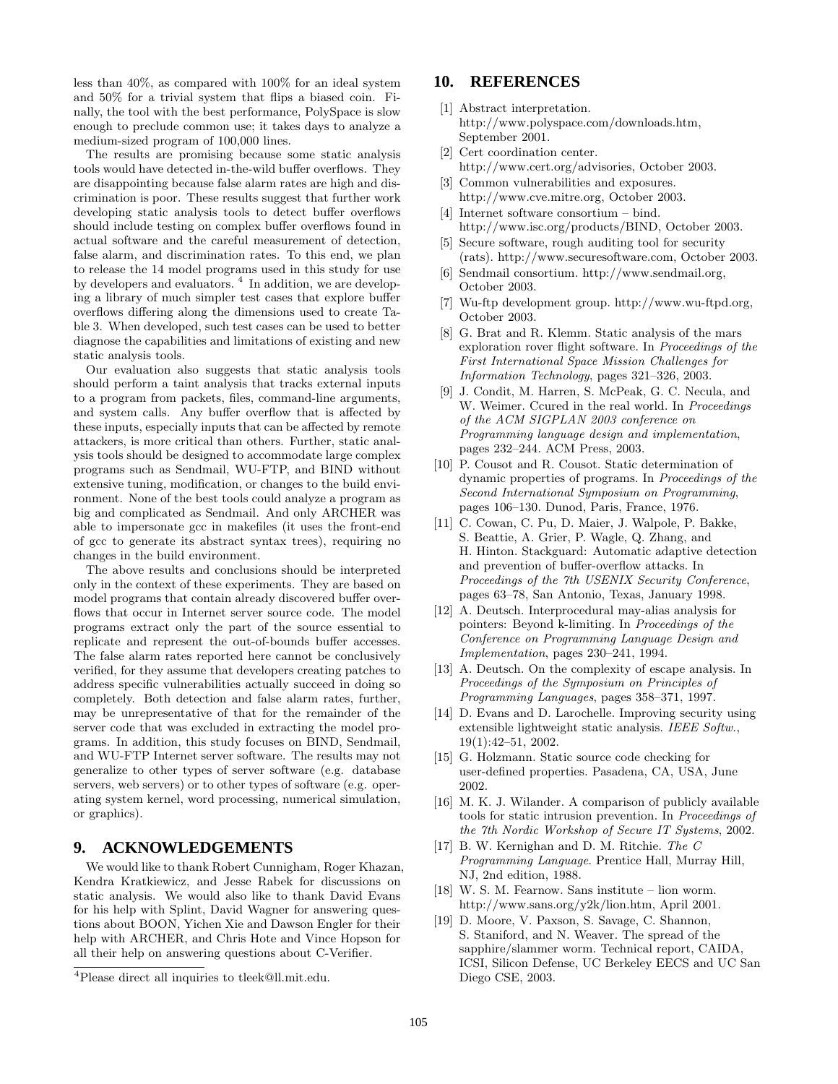less than 40%, as compared with 100% for an ideal system and 50% for a trivial system that flips a biased coin. Finally, the tool with the best performance, PolySpace is slow enough to preclude common use; it takes days to analyze a medium-sized program of 100,000 lines.

The results are promising because some static analysis tools would have detected in-the-wild buffer overflows. They are disappointing because false alarm rates are high and discrimination is poor. These results suggest that further work developing static analysis tools to detect buffer overflows should include testing on complex buffer overflows found in actual software and the careful measurement of detection, false alarm, and discrimination rates. To this end, we plan to release the 14 model programs used in this study for use by developers and evaluators.<sup>4</sup> In addition, we are developing a library of much simpler test cases that explore buffer overflows differing along the dimensions used to create Table 3. When developed, such test cases can be used to better diagnose the capabilities and limitations of existing and new static analysis tools.

Our evaluation also suggests that static analysis tools should perform a taint analysis that tracks external inputs to a program from packets, files, command-line arguments, and system calls. Any buffer overflow that is affected by these inputs, especially inputs that can be affected by remote attackers, is more critical than others. Further, static analysis tools should be designed to accommodate large complex programs such as Sendmail, WU-FTP, and BIND without extensive tuning, modification, or changes to the build environment. None of the best tools could analyze a program as big and complicated as Sendmail. And only ARCHER was able to impersonate gcc in makefiles (it uses the front-end of gcc to generate its abstract syntax trees), requiring no changes in the build environment.

The above results and conclusions should be interpreted only in the context of these experiments. They are based on model programs that contain already discovered buffer overflows that occur in Internet server source code. The model programs extract only the part of the source essential to replicate and represent the out-of-bounds buffer accesses. The false alarm rates reported here cannot be conclusively verified, for they assume that developers creating patches to address specific vulnerabilities actually succeed in doing so completely. Both detection and false alarm rates, further, may be unrepresentative of that for the remainder of the server code that was excluded in extracting the model programs. In addition, this study focuses on BIND, Sendmail, and WU-FTP Internet server software. The results may not generalize to other types of server software (e.g. database servers, web servers) or to other types of software (e.g. operating system kernel, word processing, numerical simulation, or graphics).

# **9. ACKNOWLEDGEMENTS**

We would like to thank Robert Cunnigham, Roger Khazan, Kendra Kratkiewicz, and Jesse Rabek for discussions on static analysis. We would also like to thank David Evans for his help with Splint, David Wagner for answering questions about BOON, Yichen Xie and Dawson Engler for their help with ARCHER, and Chris Hote and Vince Hopson for all their help on answering questions about C-Verifier.

### **10. REFERENCES**

- [1] Abstract interpretation. http://www.polyspace.com/downloads.htm, September 2001.
- [2] Cert coordination center. http://www.cert.org/advisories, October 2003.
- [3] Common vulnerabilities and exposures. http://www.cve.mitre.org, October 2003.
- [4] Internet software consortium bind. http://www.isc.org/products/BIND, October 2003.
- [5] Secure software, rough auditing tool for security (rats). http://www.securesoftware.com, October 2003.
- [6] Sendmail consortium. http://www.sendmail.org, October 2003.
- [7] Wu-ftp development group. http://www.wu-ftpd.org, October 2003.
- [8] G. Brat and R. Klemm. Static analysis of the mars exploration rover flight software. In Proceedings of the First International Space Mission Challenges for Information Technology, pages 321–326, 2003.
- [9] J. Condit, M. Harren, S. McPeak, G. C. Necula, and W. Weimer. Ccured in the real world. In Proceedings of the ACM SIGPLAN 2003 conference on Programming language design and implementation, pages 232–244. ACM Press, 2003.
- [10] P. Cousot and R. Cousot. Static determination of dynamic properties of programs. In Proceedings of the Second International Symposium on Programming, pages 106–130. Dunod, Paris, France, 1976.
- [11] C. Cowan, C. Pu, D. Maier, J. Walpole, P. Bakke, S. Beattie, A. Grier, P. Wagle, Q. Zhang, and H. Hinton. Stackguard: Automatic adaptive detection and prevention of buffer-overflow attacks. In Proceedings of the 7th USENIX Security Conference, pages 63–78, San Antonio, Texas, January 1998.
- [12] A. Deutsch. Interprocedural may-alias analysis for pointers: Beyond k-limiting. In Proceedings of the Conference on Programming Language Design and Implementation, pages 230–241, 1994.
- [13] A. Deutsch. On the complexity of escape analysis. In Proceedings of the Symposium on Principles of Programming Languages, pages 358–371, 1997.
- [14] D. Evans and D. Larochelle. Improving security using extensible lightweight static analysis. IEEE Softw., 19(1):42–51, 2002.
- [15] G. Holzmann. Static source code checking for user-defined properties. Pasadena, CA, USA, June 2002.
- [16] M. K. J. Wilander. A comparison of publicly available tools for static intrusion prevention. In Proceedings of the 7th Nordic Workshop of Secure IT Systems, 2002.
- [17] B. W. Kernighan and D. M. Ritchie. The C Programming Language. Prentice Hall, Murray Hill, NJ, 2nd edition, 1988.
- [18] W. S. M. Fearnow. Sans institute lion worm. http://www.sans.org/y2k/lion.htm, April 2001.
- [19] D. Moore, V. Paxson, S. Savage, C. Shannon, S. Staniford, and N. Weaver. The spread of the sapphire/slammer worm. Technical report, CAIDA, ICSI, Silicon Defense, UC Berkeley EECS and UC San Diego CSE, 2003.

<sup>4</sup>Please direct all inquiries to tleek@ll.mit.edu.